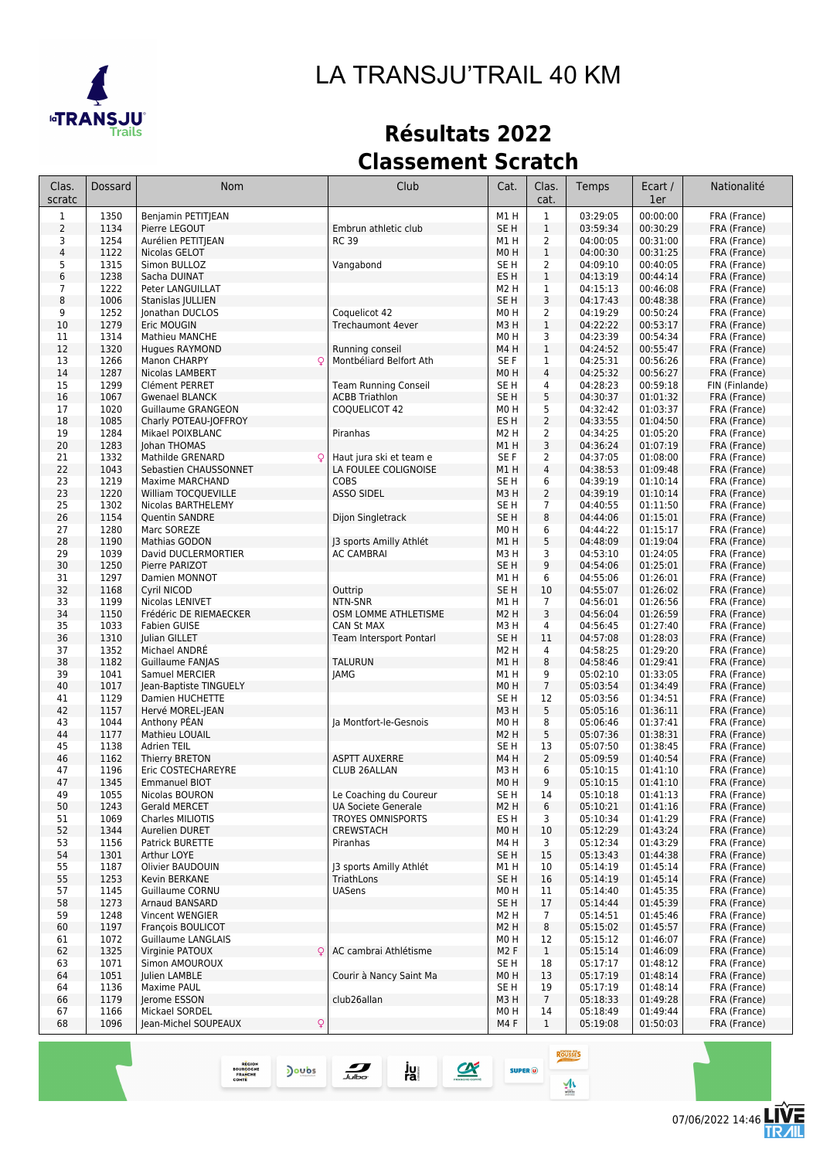

# *LA TRANSJU'TRAIL 40 KM*

## **Résultats 2022 Classement Scratch**

| Clas.<br>scratc | <b>Dossard</b> | Nom                       | Club                        | Cat.             | Clas.<br>cat.   | Temps    | Ecart /<br>1er | Nationalité    |
|-----------------|----------------|---------------------------|-----------------------------|------------------|-----------------|----------|----------------|----------------|
| $\mathbf{1}$    | 1350           | Benjamin PETITJEAN        |                             | M1H              | $\mathbf{1}$    | 03:29:05 | 00:00:00       | FRA (France)   |
| $\overline{2}$  | 1134           | Pierre LEGOUT             | Embrun athletic club        | SE <sub>H</sub>  | $\mathbf 1$     | 03:59:34 | 00:30:29       | FRA (France)   |
| 3               | 1254           | Aurélien PETITJEAN        | <b>RC 39</b>                | M1 H             | 2               | 04:00:05 | 00:31:00       | FRA (France)   |
| $\overline{4}$  | 1122           | Nicolas GELOT             |                             | M <sub>0</sub> H | $\mathbf{1}$    | 04:00:30 | 00:31:25       | FRA (France)   |
| 5               | 1315           | Simon BULLOZ              | Vangabond                   | SE H             | 2               | 04:09:10 | 00:40:05       | FRA (France)   |
| 6               | 1238           | Sacha DUINAT              |                             | ES <sub>H</sub>  | $\mathbf{1}$    | 04:13:19 | 00:44:14       | FRA (France)   |
| $\overline{7}$  | 1222           | Peter LANGUILLAT          |                             | M <sub>2</sub> H | 1               | 04:15:13 | 00:46:08       | FRA (France)   |
| 8               | 1006           | Stanislas JULLIEN         |                             | SE H             | 3               | 04:17:43 | 00:48:38       | FRA (France)   |
| 9               | 1252           | Jonathan DUCLOS           | Coquelicot 42               | M <sub>0</sub> H | 2               | 04:19:29 | 00:50:24       | FRA (France)   |
| 10              | 1279           | Eric MOUGIN               | <b>Trechaumont 4ever</b>    | M3H              | $\mathbf{1}$    | 04:22:22 | 00:53:17       | FRA (France)   |
| 11              | 1314           | <b>Mathieu MANCHE</b>     |                             | M <sub>0</sub> H | 3               | 04:23:39 | 00:54:34       | FRA (France)   |
| 12              | 1320           | Hugues RAYMOND            | Running conseil             | M4H              | $\mathbf{1}$    | 04:24:52 | 00:55:47       | FRA (France)   |
| 13              | 1266           | Manon CHARPY<br>Q         | Montbéliard Belfort Ath     | SE F             | $\mathbf 1$     | 04:25:31 | 00:56:26       | FRA (France)   |
| 14              | 1287           | Nicolas LAMBERT           |                             | M <sub>0</sub> H | $\overline{4}$  | 04:25:32 | 00:56:27       | FRA (France)   |
| 15              | 1299           | Clément PERRET            | <b>Team Running Conseil</b> | SE H             | 4               | 04:28:23 | 00:59:18       | FIN (Finlande) |
| 16              | 1067           | <b>Gwenael BLANCK</b>     | <b>ACBB Triathlon</b>       | SE <sub>H</sub>  | 5               | 04:30:37 | 01:01:32       | FRA (France)   |
| 17              | 1020           | Guillaume GRANGEON        | COQUELICOT 42               | M <sub>0</sub> H | 5               | 04:32:42 | 01:03:37       | FRA (France)   |
| 18              | 1085           | Charly POTEAU-JOFFROY     |                             | ES H             | $\overline{2}$  | 04:33:55 | 01:04:50       | FRA (France)   |
| 19              | 1284           | Mikael POIXBLANC          | Piranhas                    | M2 H             | $\overline{2}$  | 04:34:25 | 01:05:20       | FRA (France)   |
| 20              | 1283           | Johan THOMAS              |                             | M1 H             | 3               | 04:36:24 | 01:07:19       | FRA (France)   |
| 21              | 1332           | Mathilde GRENARD          | Haut jura ski et team e     | SE F             | 2               | 04:37:05 | 01:08:00       | FRA (France)   |
| 22              | 1043           | Sebastien CHAUSSONNET     | LA FOULEE COLIGNOISE        | M1H              | 4               | 04:38:53 | 01:09:48       | FRA (France)   |
| 23              | 1219           | <b>Maxime MARCHAND</b>    | <b>COBS</b>                 | SE H             | 6               | 04:39:19 | 01:10:14       | FRA (France)   |
| 23              | 1220           | William TOCQUEVILLE       | <b>ASSO SIDEL</b>           | M3H              | $\overline{2}$  | 04:39:19 | 01:10:14       | FRA (France)   |
| 25              | 1302           | Nicolas BARTHELEMY        |                             | SE H             | $\overline{7}$  | 04:40:55 | 01:11:50       | FRA (France)   |
| 26              | 1154           | <b>Ouentin SANDRE</b>     | Dijon Singletrack           | SE <sub>H</sub>  | 8               | 04:44:06 | 01:15:01       | FRA (France)   |
| 27              | 1280           | Marc SOREZE               |                             | M <sub>0</sub> H | 6               | 04:44:22 | 01:15:17       | FRA (France)   |
| 28              | 1190           | Mathias GODON             | 13 sports Amilly Athlét     | M1H              | 5               | 04:48:09 | 01:19:04       | FRA (France)   |
| 29              | 1039           | David DUCLERMORTIER       | AC CAMBRAI                  | M3H              | 3               | 04:53:10 | 01:24:05       | FRA (France)   |
| 30              | 1250           | Pierre PARIZOT            |                             | SE <sub>H</sub>  | 9               | 04:54:06 | 01:25:01       | FRA (France)   |
| 31              | 1297           | Damien MONNOT             |                             | M1H              | 6               | 04:55:06 | 01:26:01       | FRA (France)   |
| 32              | 1168           | Cyril NICOD               | Outtrip                     | SE <sub>H</sub>  | 10              | 04:55:07 | 01:26:02       | FRA (France)   |
| 33              | 1199           | Nicolas LENIVET           | NTN-SNR                     | M1H              | $\overline{7}$  | 04:56:01 | 01:26:56       | FRA (France)   |
| 34              | 1150           | Frédéric DE RIEMAECKER    | OSM LOMME ATHLETISME        | M <sub>2</sub> H | 3               | 04:56:04 | 01:26:59       | FRA (France)   |
| 35              | 1033           | Fabien GUISE              | CAN St MAX                  | M3H              | 4               | 04:56:45 | 01:27:40       | FRA (France)   |
| 36              | 1310           | Julian GILLET             | Team Intersport Pontarl     | SE <sub>H</sub>  | 11              | 04:57:08 | 01:28:03       | FRA (France)   |
| 37              | 1352           | Michael ANDRE             |                             | M <sub>2</sub> H | 4               | 04:58:25 | 01:29:20       | FRA (France)   |
| 38              | 1182           | Guillaume FANJAS          | <b>TALURUN</b>              | M1H              | 8               | 04:58:46 | 01:29:41       | FRA (France)   |
| 39              | 1041           | Samuel MERCIER            | <b>JAMG</b>                 | M1H              | 9               | 05:02:10 | 01:33:05       | FRA (France)   |
| 40              | 1017           | Jean-Baptiste TINGUELY    |                             | M <sub>0</sub> H | $\overline{7}$  | 05:03:54 | 01:34:49       | FRA (France)   |
| 41              | 1129           | Damien HUCHETTE           |                             | SE H             | 12              | 05:03:56 | 01:34:51       | FRA (France)   |
| 42              | 1157           | Hervé MOREL-JEAN          |                             | M3H              | 5               | 05:05:16 | 01:36:11       | FRA (France)   |
| 43              | 1044           | Anthony PEAN              | Ja Montfort-le-Gesnois      | MO H             | 8               | 05:06:46 | 01:37:41       | FRA (France)   |
| 44              | 1177           | Mathieu LOUAIL            |                             | M <sub>2</sub> H | 5               | 05:07:36 | 01:38:31       | FRA (France)   |
| 45              | 1138           | <b>Adrien TEIL</b>        |                             | SE H             | 13              | 05:07:50 | 01:38:45       | FRA (France)   |
| 46              | 1162           | Thierry BRETON            | <b>ASPTT AUXERRE</b>        | M4H              | $\overline{2}$  | 05:09:59 | 01:40:54       | FRA (France)   |
| 47              | 1196           | Eric COSTECHAREYRE        | CLUB 26ALLAN                | мз н             | 6               | 05:10:15 | 01:41:10       | FRA (France)   |
| 47              | 1345           | <b>Emmanuel BIOT</b>      |                             | M <sub>0</sub> H | 9               | 05:10:15 | 01:41:10       | FRA (France)   |
| 49              | 1055           | Nicolas BOURON            | Le Coaching du Coureur      | SE H             | 14              | 05:10:18 | 01:41:13       | FRA (France)   |
| 50              | 1243           | Gerald MERCET             | UA Societe Generale         | M <sub>2</sub> H | 6               | 05:10:21 | 01:41:16       | FRA (France)   |
| 51              | 1069           | Charles MILIOTIS          | TROYES OMNISPORTS           | ES H             | 3               | 05:10:34 | 01:41:29       | FRA (France)   |
| 52              | 1344           | Aurelien DURET            | <b>CREWSTACH</b>            | M <sub>0</sub> H | 10              | 05:12:29 | 01:43:24       | FRA (France)   |
| 53              | 1156           | Patrick BURETTE           | Piranhas                    | M4H              | 3               | 05:12:34 | 01:43:29       | FRA (France)   |
| 54              | 1301           | Arthur LOYE               |                             | SE H             | 15              | 05:13:43 | 01:44:38       | FRA (France)   |
| 55              | 1187           | Olivier BAUDOUIN          | J3 sports Amilly Athlét     | M1H              | 10              | 05:14:19 | 01:45:14       | FRA (France)   |
| 55              | 1253           | Kevin BERKANE             | TriathLons                  | SE H             | 16              | 05:14:19 | 01:45:14       | FRA (France)   |
| 57              | 1145           | <b>Guillaume CORNU</b>    | <b>UASens</b>               | M <sub>0</sub> H | 11              | 05:14:40 | 01:45:35       | FRA (France)   |
| 58              | 1273           | Arnaud BANSARD            |                             | SE <sub>H</sub>  | 17              | 05:14:44 | 01:45:39       | FRA (France)   |
| 59              | 1248           | Vincent WENGIER           |                             | M <sub>2</sub> H | $\overline{7}$  | 05:14:51 | 01:45:46       | FRA (France)   |
| 60              | 1197           | François BOULICOT         |                             | M <sub>2</sub> H | 8               | 05:15:02 | 01:45:57       | FRA (France)   |
| 61              | 1072           | Guillaume LANGLAIS        |                             | M <sub>0</sub> H | 12              | 05:15:12 | 01:46:07       | FRA (France)   |
| 62              | 1325           | Q<br>Virginie PATOUX      | AC cambrai Athlétisme       | M <sub>2</sub> F | $\mathbf{1}$    | 05:15:14 | 01:46:09       | FRA (France)   |
| 63              | 1071           | Simon AMOUROUX            |                             | SE H             | 18              | 05:17:17 | 01:48:12       | FRA (France)   |
| 64              | 1051           | Julien LAMBLE             | Courir à Nancy Saint Ma     | M <sub>0</sub> H | 13              | 05:17:19 | 01:48:14       | FRA (France)   |
| 64              | 1136           | Maxime PAUL               |                             | SE H             | 19              | 05:17:19 | 01:48:14       | FRA (France)   |
| 66              | 1179           | Jerome ESSON              | club26allan                 | M3H              | $7\overline{ }$ | 05:18:33 | 01:49:28       | FRA (France)   |
| 67              | 1166           | Mickael SORDEL            |                             | MO H             | 14              | 05:18:49 | 01:49:44       | FRA (France)   |
| 68              | 1096           | Jean-Michel SOUPEAUX<br>Q |                             | M4 F             | $\mathbf{1}$    | 05:19:08 | 01:50:03       | FRA (France)   |
|                 |                |                           |                             |                  |                 |          |                |                |

ju<br>ral

 $\alpha$ 

 $\sum_{\text{bulbo}}$ 

REGION<br>BOURGOGNE<br>FRANCHE<br>COMTE

**Joubs** 

Ē

**ROUSSES** 

 $\frac{1}{2}$ 

**SUPER**<sup>O</sup>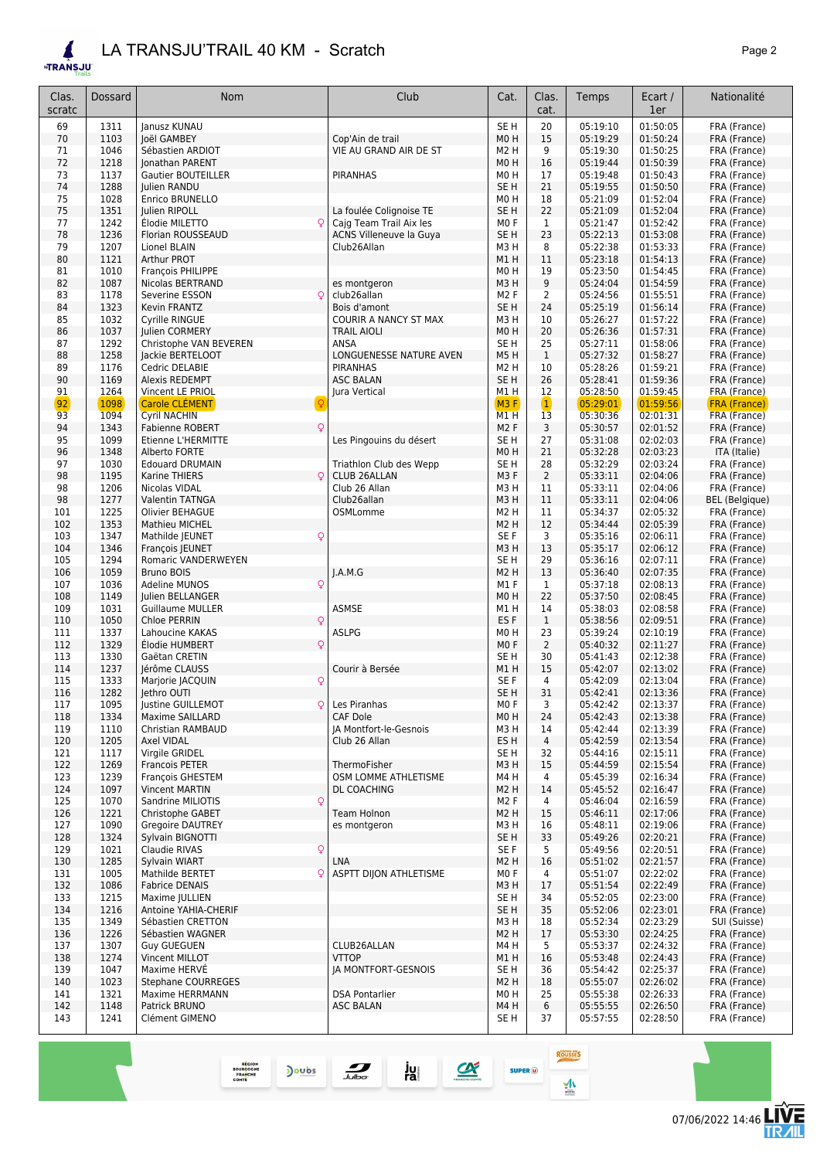#### *LA TRANSJU'TRAIL 40 KM - Scratch Page 2*

**ETRANSJU** 

| Clas.<br>scratc | Dossard      | Nom                                             | Club                                               | Cat.                                | Clas.<br>cat.      | Temps                | Ecart /<br>1er       | Nationalité                  |
|-----------------|--------------|-------------------------------------------------|----------------------------------------------------|-------------------------------------|--------------------|----------------------|----------------------|------------------------------|
| 69              | 1311         | Janusz KUNAU                                    |                                                    | SE <sub>H</sub>                     | 20                 | 05:19:10             | 01:50:05             | FRA (France)                 |
| 70              | 1103         | Joël GAMBEY                                     | Cop'Ain de trail                                   | MOH                                 | 15                 | 05:19:29             | 01:50:24             | FRA (France)                 |
| 71              | 1046         | Sébastien ARDIOT                                | VIE AU GRAND AIR DE ST                             | M <sub>2</sub> H                    | 9                  | 05:19:30             | 01:50:25             | FRA (France)                 |
| 72              | 1218         | Jonathan PARENT                                 |                                                    | MOH                                 | 16                 | 05:19:44             | 01:50:39             | FRA (France)                 |
| 73              | 1137         | <b>Gautier BOUTEILLER</b>                       | <b>PIRANHAS</b>                                    | MO <sub>H</sub>                     | 17                 | 05:19:48             | 01:50:43             | FRA (France)                 |
| 74              | 1288         | Julien RANDU                                    |                                                    | SE <sub>H</sub>                     | 21                 | 05:19:55             | 01:50:50             | FRA (France)                 |
| 75              | 1028         | Enrico BRUNELLO                                 |                                                    | MO <sub>H</sub>                     | 18                 | 05:21:09             | 01:52:04             | FRA (France)                 |
| 75<br>77        | 1351<br>1242 | Julien RIPOLL<br>Élodie MILETTO                 | La foulée Colignoise TE<br>Cajg Team Trail Aix les | SE <sub>H</sub><br>M <sub>0</sub> F | 22<br>1            | 05:21:09<br>05:21:47 | 01:52:04<br>01:52:42 | FRA (France)<br>FRA (France) |
| 78              | 1236         | Florian ROUSSEAUD                               | <b>ACNS Villeneuve la Guya</b>                     | SE <sub>H</sub>                     | 23                 | 05:22:13             | 01:53:08             | FRA (France)                 |
| 79              | 1207         | Lionel BLAIN                                    | Club26Allan                                        | M3H                                 | 8                  | 05:22:38             | 01:53:33             | FRA (France)                 |
| 80              | 1121         | Arthur PROT                                     |                                                    | M1H                                 | 11                 | 05:23:18             | 01:54:13             | FRA (France)                 |
| 81              | 1010         | François PHILIPPE                               |                                                    | M0H                                 | 19                 | 05:23:50             | 01:54:45             | FRA (France)                 |
| 82              | 1087         | Nicolas BERTRAND                                | es montgeron                                       | M3H                                 | 9                  | 05:24:04             | 01:54:59             | FRA (France)                 |
| 83              | 1178         | Severine ESSON<br>Q                             | club26allan                                        | M <sub>2</sub> F                    | 2                  | 05:24:56             | 01:55:51             | FRA (France)                 |
| 84              | 1323         | Kevin FRANTZ                                    | Bois d'amont                                       | SE <sub>H</sub>                     | 24                 | 05:25:19             | 01:56:14             | FRA (France)                 |
| 85              | 1032         | Cyrille RINGUE                                  | COURIR A NANCY ST MAX                              | M3H                                 | 10                 | 05:26:27             | 01:57:22             | FRA (France)                 |
| 86              | 1037         | Julien CORMERY                                  | <b>TRAIL AIOLI</b>                                 | M0H                                 | 20                 | 05:26:36             | 01:57:31             | FRA (France)                 |
| 87              | 1292         | Christophe VAN BEVEREN                          | ANSA                                               | SE <sub>H</sub>                     | 25                 | 05:27:11             | 01:58:06             | FRA (France)                 |
| 88<br>89        | 1258<br>1176 | Jackie BERTELOOT<br>Cedric DELABIE              | LONGUENESSE NATURE AVEN<br><b>PIRANHAS</b>         | M5H<br>M2 H                         | $\mathbf{1}$<br>10 | 05:27:32<br>05:28:26 | 01:58:27<br>01:59:21 | FRA (France)<br>FRA (France) |
| 90              | 1169         | Alexis REDEMPT                                  | <b>ASC BALAN</b>                                   | SE <sub>H</sub>                     | 26                 | 05:28:41             | 01:59:36             | FRA (France)                 |
| 91              | 1264         | <b>Vincent LE PRIOL</b>                         | Jura Vertical                                      | M1H                                 | 12                 | 05:28:50             | 01:59:45             | FRA (France)                 |
| 92              | 1098         | Carole CLÉMENT                                  |                                                    | M3F                                 | $\mathbf{1}$       | 05:29:01             | 01:59:56             | <b>FRA (France)</b>          |
| 93              | 1094         | <b>Cyril NACHIN</b>                             |                                                    | M1H                                 | 13                 | 05:30:36             | 02:01:31             | FRA (France)                 |
| 94              | 1343         | <b>Fabienne ROBERT</b>                          |                                                    | M <sub>2</sub> F                    | 3                  | 05:30:57             | 02:01:52             | FRA (France)                 |
| 95              | 1099         | <b>Etienne L'HERMITTE</b>                       | Les Pingouins du désert                            | SE <sub>H</sub>                     | 27                 | 05:31:08             | 02:02:03             | FRA (France)                 |
| 96              | 1348         | Alberto FORTE                                   |                                                    | MOH                                 | 21                 | 05:32:28             | 02:03:23             | ITA (Italie)                 |
| 97              | 1030         | <b>Edouard DRUMAIN</b>                          | Triathlon Club des Wepp                            | SE <sub>H</sub>                     | 28                 | 05:32:29             | 02:03:24             | FRA (France)                 |
| 98              | 1195         | Q<br>Karine THIERS                              | <b>CLUB 26ALLAN</b>                                | M3F                                 | $\overline{2}$     | 05:33:11             | 02:04:06             | FRA (France)                 |
| 98              | 1206         | Nicolas VIDAL                                   | Club 26 Allan                                      | M3H                                 | 11                 | 05:33:11             | 02:04:06             | FRA (France)                 |
| 98              | 1277         | <b>Valentin TATNGA</b>                          | Club26allan                                        | M3H                                 | 11                 | 05:33:11             | 02:04:06             | <b>BEL</b> (Belgique)        |
| 101             | 1225         | Olivier BEHAGUE                                 | OSMLomme                                           | M2 H                                | 11                 | 05:34:37             | 02:05:32             | FRA (France)                 |
| 102<br>103      | 1353<br>1347 | <b>Mathieu MICHEL</b>                           |                                                    | M2 H<br>SE F                        | 12<br>3            | 05:34:44<br>05:35:16 | 02:05:39<br>02:06:11 | FRA (France)                 |
| 104             | 1346         | Mathilde JEUNET<br>Q<br>François JEUNET         |                                                    | M3H                                 | 13                 | 05:35:17             | 02:06:12             | FRA (France)<br>FRA (France) |
| 105             | 1294         | Romaric VANDERWEYEN                             |                                                    | SE <sub>H</sub>                     | 29                 | 05:36:16             | 02:07:11             | FRA (France)                 |
| 106             | 1059         | <b>Bruno BOIS</b>                               | I.A.M.G                                            | M2 H                                | 13                 | 05:36:40             | 02:07:35             | FRA (France)                 |
| 107             | 1036         | Q<br><b>Adeline MUNOS</b>                       |                                                    | M1F                                 | 1                  | 05:37:18             | 02:08:13             | FRA (France)                 |
| 108             | 1149         | Julien BELLANGER                                |                                                    | M0H                                 | 22                 | 05:37:50             | 02:08:45             | FRA (France)                 |
| 109             | 1031         | <b>Guillaume MULLER</b>                         | ASMSE                                              | M1 H                                | 14                 | 05:38:03             | 02:08:58             | FRA (France)                 |
| 110             | 1050         | Q<br>Chloe PERRIN                               |                                                    | ES <sub>F</sub>                     | $\mathbf{1}$       | 05:38:56             | 02:09:51             | FRA (France)                 |
| 111             | 1337         | Lahoucine KAKAS                                 | <b>ASLPG</b>                                       | M0H                                 | 23                 | 05:39:24             | 02:10:19             | FRA (France)                 |
| 112             | 1329         | Élodie HUMBERT<br>Q                             |                                                    | M <sub>0</sub> F                    | $\overline{2}$     | 05:40:32             | 02:11:27             | FRA (France)                 |
| 113<br>114      | 1330<br>1237 | Gaëtan CRETIN<br>Jérôme CLAUSS                  | Courir à Bersée                                    | SE <sub>H</sub><br>M1H              | 30<br>15           | 05:41:43<br>05:42:07 | 02:12:38<br>02:13:02 | FRA (France)<br>FRA (France) |
| 115             | 1333         | Q<br>Marjorie JACQUIN                           |                                                    | SE F                                | 4                  | 05:42:09             | 02:13:04             | FRA (France)                 |
| 116             | 1282         | Jethro OUTI                                     |                                                    | SE <sub>H</sub>                     | 31                 | 05:42:41             | 02:13:36             | FRA (France)                 |
| 117             | 1095         | Justine GUILLEMOT<br>Ō                          | Les Piranhas                                       | MO F                                | 3                  | 05:42:42             | 02:13:37             | FRA (France)                 |
| 118             | 1334         | Maxime SAILLARD                                 | <b>CAF Dole</b>                                    | M0H                                 | 24                 | 05:42:43             | 02:13:38             | FRA (France)                 |
| 119             | 1110         | Christian RAMBAUD                               | JA Montfort-le-Gesnois                             | МЗ Н                                | 14                 | 05:42:44             | 02:13:39             | FRA (France)                 |
| 120             | 1205         | Axel VIDAL                                      | Club 26 Allan                                      | ES H                                | 4                  | 05:42:59             | 02:13:54             | FRA (France)                 |
| 121             | 1117         | Virgile GRIDEL                                  |                                                    | SE <sub>H</sub>                     | 32                 | 05:44:16             | 02:15:11             | FRA (France)                 |
| 122             | 1269         | <b>Francois PETER</b>                           | ThermoFisher                                       | M3H                                 | 15                 | 05:44:59             | 02:15:54             | FRA (France)                 |
| 123             | 1239         | François GHESTEM                                | OSM LOMME ATHLETISME                               | M4 H                                | 4                  | 05:45:39             | 02:16:34             | FRA (France)                 |
| 124<br>125      | 1097<br>1070 | <b>Vincent MARTIN</b><br>Sandrine MILIOTIS<br>Q | DL COACHING                                        | M2 H<br>M <sub>2</sub> F            | 14<br>4            | 05:45:52<br>05:46:04 | 02:16:47<br>02:16:59 | FRA (France)<br>FRA (France) |
| 126             | 1221         | Christophe GABET                                | Team Holnon                                        | M2 H                                | 15                 | 05:46:11             | 02:17:06             | FRA (France)                 |
| 127             | 1090         | Gregoire DAUTREY                                | es montgeron                                       | мз н                                | 16                 | 05:48:11             | 02:19:06             | FRA (France)                 |
| 128             | 1324         | Sylvain BIGNOTTI                                |                                                    | SE H                                | 33                 | 05:49:26             | 02:20:21             | FRA (France)                 |
| 129             | 1021         | Q<br>Claudie RIVAS                              |                                                    | SE F                                | 5                  | 05:49:56             | 02:20:51             | FRA (France)                 |
| 130             | 1285         | Sylvain WIART                                   | LNA                                                | M2 H                                | 16                 | 05:51:02             | 02:21:57             | FRA (France)                 |
| 131             | 1005         | Mathilde BERTET<br>Q                            | ASPTT DIJON ATHLETISME                             | M <sub>0</sub> F                    | 4                  | 05:51:07             | 02:22:02             | FRA (France)                 |
| 132             | 1086         | <b>Fabrice DENAIS</b>                           |                                                    | M3H                                 | 17                 | 05:51:54             | 02:22:49             | FRA (France)                 |
| 133             | 1215         | Maxime JULLIEN                                  |                                                    | SE <sub>H</sub>                     | 34                 | 05:52:05             | 02:23:00             | FRA (France)                 |
| 134             | 1216         | Antoine YAHIA-CHERIF                            |                                                    | SE <sub>H</sub>                     | 35                 | 05:52:06             | 02:23:01             | FRA (France)                 |
| 135             | 1349         | Sébastien CRETTON                               |                                                    | M3H                                 | 18                 | 05:52:34             | 02:23:29             | SUI (Suisse)                 |
| 136<br>137      | 1226<br>1307 | Sébastien WAGNER<br><b>Guy GUEGUEN</b>          | CLUB26ALLAN                                        | M2 H<br>M4 H                        | 17<br>5            | 05:53:30<br>05:53:37 | 02:24:25<br>02:24:32 | FRA (France)<br>FRA (France) |
| 138             | 1274         | Vincent MILLOT                                  | <b>VTTOP</b>                                       | M1 H                                | 16                 | 05:53:48             | 02:24:43             | FRA (France)                 |
| 139             | 1047         | Maxime HERVE                                    | JA MONTFORT-GESNOIS                                | SE H                                | 36                 | 05:54:42             | 02:25:37             | FRA (France)                 |
| 140             | 1023         | Stephane COURREGES                              |                                                    | M2 H                                | 18                 | 05:55:07             | 02:26:02             | FRA (France)                 |

<u>/Е</u>

Doubs

141 1321 Maxime HERRMANN DESA Pontarlier MOH 251 MOH<br>142 1148 Patrick BRUNO ASC BALAN ASC BALAN M4 H

REGION<br>BOURGOGNE<br>FRANCHE<br>COMTE

 $\frac{1}{\sqrt{2}}$ 

ju<br>ra

 $\alpha$ **SUPER**<sup>(i)</sup>

140 1023 Stephane COURREGES <br>
141 1321 Maxime HERRMANN DSA Pontarlier MOH 25 05:55:07 02:26:02 FRA (France)<br>
142 1148 Patrick BRUNO ASC BALAN M4H 6 05:55:55 02:26:50 FRA (France) 1148 Patrick BRUNO ASC BALAN M4 H 6 05:55:55 02:26:50 FRA (France) 143 1241 Clément GIMENO CONDENSING CONSUMER CONSUMER CONSUMER SEE H 37 05:57:55 02:28:50 FRA (France)

**ROUSSES** 

 $\frac{1}{\sinh}$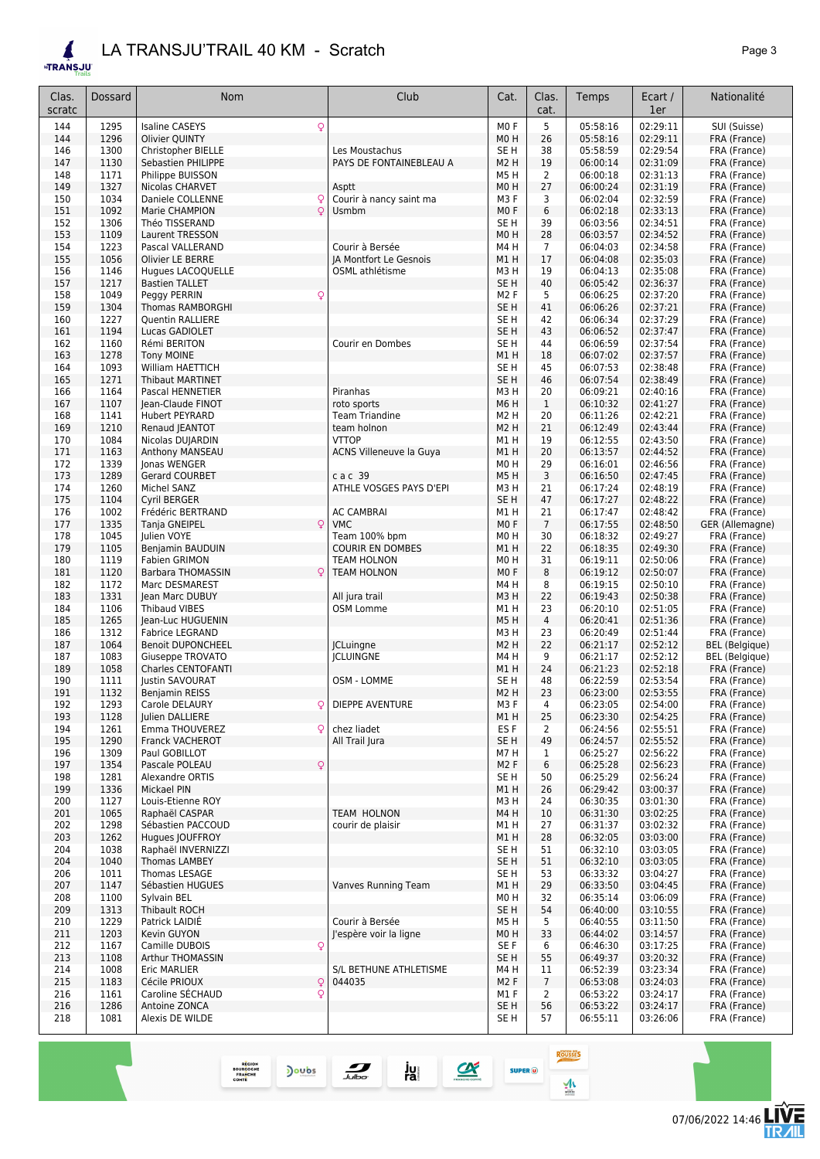## *LA TRANSJU'TRAIL 40 KM - Scratch Page 3*

REGION<br>BOURGOGNE<br>FRANCHE<br>COMTE

 $\frac{1}{\sqrt{2}}$ 

Doubs

ju<br>ra

 $\blacktriangle$ **ETRANSJU** 

| Clas.<br>scratc | Dossard      | Nom                                         | Club                    | Cat.                                | Clas.<br>cat.     | Temps                | Ecart /<br>1er       | Nationalité                  |
|-----------------|--------------|---------------------------------------------|-------------------------|-------------------------------------|-------------------|----------------------|----------------------|------------------------------|
| 144             | 1295         | Q<br><b>Isaline CASEYS</b>                  |                         | M <sub>0</sub> F                    | 5                 | 05:58:16             | 02:29:11             | SUI (Suisse)                 |
| 144             | 1296         | Olivier QUINTY                              |                         | M0H                                 | 26                | 05:58:16             | 02:29:11             | FRA (France)                 |
| 146             | 1300         | Christopher BIELLE                          | Les Moustachus          | SE H                                | 38                | 05:58:59             | 02:29:54             | FRA (France)                 |
| 147             | 1130         | Sebastien PHILIPPE                          | PAYS DE FONTAINEBLEAU A | M <sub>2</sub> H                    | 19                | 06:00:14             | 02:31:09             | FRA (France)                 |
| 148             | 1171         | Philippe BUISSON                            |                         | M <sub>5</sub> H                    | 2                 | 06:00:18             | 02:31:13             | FRA (France)                 |
| 149             | 1327         | Nicolas CHARVET                             | Asptt                   | M <sub>0</sub> H                    | 27                | 06:00:24             | 02:31:19             | FRA (France)                 |
| 150             | 1034         | Daniele COLLENNE<br>Q                       | Courir à nancy saint ma | M3F                                 | 3                 | 06:02:04             | 02:32:59             | FRA (France)                 |
| 151             | 1092<br>1306 | Q<br>Marie CHAMPION<br>Théo TISSERAND       | Usmbm                   | MO <sub>F</sub><br>SE <sub>H</sub>  | 6<br>39           | 06:02:18             | 02:33:13<br>02:34:51 | FRA (France)                 |
| 152<br>153      | 1109         | Laurent TRESSON                             |                         | MO <sub>H</sub>                     | 28                | 06:03:56<br>06:03:57 | 02:34:52             | FRA (France)<br>FRA (France) |
| 154             | 1223         | Pascal VALLERAND                            | Courir à Bersée         | M4H                                 | $\overline{7}$    | 06:04:03             | 02:34:58             | FRA (France)                 |
| 155             | 1056         | Olivier LE BERRE                            | JA Montfort Le Gesnois  | M1H                                 | 17                | 06:04:08             | 02:35:03             | FRA (France)                 |
| 156             | 1146         | Hugues LACOQUELLE                           | OSML athlétisme         | M <sub>3</sub> H                    | 19                | 06:04:13             | 02:35:08             | FRA (France)                 |
| 157             | 1217         | <b>Bastien TALLET</b>                       |                         | SE H                                | 40                | 06:05:42             | 02:36:37             | FRA (France)                 |
| 158             | 1049         | Peggy PERRIN<br>Q                           |                         | M <sub>2</sub> F                    | 5                 | 06:06:25             | 02:37:20             | FRA (France)                 |
| 159             | 1304         | Thomas RAMBORGHI                            |                         | SE <sub>H</sub>                     | 41                | 06:06:26             | 02:37:21             | FRA (France)                 |
| 160             | 1227         | Quentin RALLIERE                            |                         | SE H                                | 42                | 06:06:34             | 02:37:29             | FRA (France)                 |
| 161             | 1194         | Lucas GADIOLET                              |                         | SE <sub>H</sub>                     | 43                | 06:06:52             | 02:37:47             | FRA (France)                 |
| 162<br>163      | 1160<br>1278 | Rémi BERITON<br><b>Tony MOINE</b>           | Courir en Dombes        | SE H<br>M1H                         | 44<br>18          | 06:06:59<br>06:07:02 | 02:37:54<br>02:37:57 | FRA (France)<br>FRA (France) |
| 164             | 1093         | <b>William HAETTICH</b>                     |                         | SE <sub>H</sub>                     | 45                | 06:07:53             | 02:38:48             | FRA (France)                 |
| 165             | 1271         | <b>Thibaut MARTINET</b>                     |                         | SE <sub>H</sub>                     | 46                | 06:07:54             | 02:38:49             | FRA (France)                 |
| 166             | 1164         | Pascal HENNETIER                            | Piranhas                | M3H                                 | 20                | 06:09:21             | 02:40:16             | FRA (France)                 |
| 167             | 1107         | Jean-Claude FINOT                           | roto sports             | M6 H                                | $\mathbf{1}$      | 06:10:32             | 02:41:27             | FRA (France)                 |
| 168             | 1141         | Hubert PEYRARD                              | <b>Team Triandine</b>   | M <sub>2</sub> H                    | 20                | 06:11:26             | 02:42:21             | FRA (France)                 |
| 169             | 1210         | Renaud JEANTOT                              | team holnon             | M <sub>2</sub> H                    | 21                | 06:12:49             | 02:43:44             | FRA (France)                 |
| 170             | 1084         | Nicolas DUJARDIN                            | <b>VTTOP</b>            | M1H                                 | 19                | 06:12:55             | 02:43:50             | FRA (France)                 |
| 171             | 1163         | Anthony MANSEAU                             | ACNS Villeneuve la Guya | M1H                                 | 20                | 06:13:57             | 02:44:52             | FRA (France)                 |
| 172             | 1339         | Jonas WENGER                                |                         | M <sub>0</sub> H                    | 29                | 06:16:01             | 02:46:56             | FRA (France)                 |
| 173             | 1289         | <b>Gerard COURBET</b>                       | c a c 39                | M5H                                 | 3                 | 06:16:50             | 02:47:45             | FRA (France)                 |
| 174<br>175      | 1260<br>1104 | Michel SANZ                                 | ATHLE VOSGES PAYS D'EPI | M <sub>3</sub> H<br>SE <sub>H</sub> | 21<br>47          | 06:17:24             | 02:48:19<br>02:48:22 | FRA (France)                 |
| 176             | 1002         | Cyril BERGER<br>Frédéric BERTRAND           | <b>AC CAMBRAI</b>       | M1H                                 | 21                | 06:17:27<br>06:17:47 | 02:48:42             | FRA (France)<br>FRA (France) |
| 177             | 1335         | Tanja GNEIPEL<br>Q                          | <b>VMC</b>              | MO <sub>F</sub>                     | $\overline{7}$    | 06:17:55             | 02:48:50             | GER (Allemagne)              |
| 178             | 1045         | Julien VOYE                                 | Team 100% bpm           | M <sub>0</sub> H                    | 30                | 06:18:32             | 02:49:27             | FRA (France)                 |
| 179             | 1105         | Benjamin BAUDUIN                            | <b>COURIR EN DOMBES</b> | M1H                                 | 22                | 06:18:35             | 02:49:30             | FRA (France)                 |
| 180             | 1119         | <b>Fabien GRIMON</b>                        | <b>TEAM HOLNON</b>      | M <sub>0</sub> H                    | 31                | 06:19:11             | 02:50:06             | FRA (France)                 |
| 181             | 1120         | Barbara THOMASSIN<br>Q                      | <b>TEAM HOLNON</b>      | MO <sub>F</sub>                     | 8                 | 06:19:12             | 02:50:07             | FRA (France)                 |
| 182             | 1172         | Marc DESMAREST                              |                         | M4H                                 | 8                 | 06:19:15             | 02:50:10             | FRA (France)                 |
| 183             | 1331         | Jean Marc DUBUY                             | All jura trail          | M3H                                 | 22                | 06:19:43             | 02:50:38             | FRA (France)                 |
| 184             | 1106         | <b>Thibaud VIBES</b>                        | OSM Lomme               | M1H                                 | 23                | 06:20:10             | 02:51:05             | FRA (France)                 |
| 185<br>186      | 1265<br>1312 | Jean-Luc HUGUENIN<br><b>Fabrice LEGRAND</b> |                         | M5H<br>M <sub>3</sub> H             | 4<br>23           | 06:20:41<br>06:20:49 | 02:51:36<br>02:51:44 | FRA (France)<br>FRA (France) |
| 187             | 1064         | <b>Benoit DUPONCHEEL</b>                    | <b>ICLuingne</b>        | M <sub>2</sub> H                    | 22                | 06:21:17             | 02:52:12             | <b>BEL</b> (Belgique)        |
| 187             | 1083         | Giuseppe TROVATO                            | <b>ICLUINGNE</b>        | M4H                                 | 9                 | 06:21:17             | 02:52:12             | <b>BEL</b> (Belgique)        |
| 189             | 1058         | Charles CENTOFANTI                          |                         | M1H                                 | 24                | 06:21:23             | 02:52:18             | FRA (France)                 |
| 190             | 1111         | Justin SAVOURAT                             | OSM - LOMME             | SE H                                | 48                | 06:22:59             | 02:53:54             | FRA (France)                 |
| 191             | 1132         | Benjamin REISS                              |                         | M <sub>2</sub> H                    | 23                | 06:23:00             | 02:53:55             | FRA (France)                 |
| 192             | 1293         | Carole DELAURY                              | DIEPPE AVENTURE         | M3 F                                | 4                 | 06:23:05             | 02:54:00             | FRA (France)                 |
| 193             | 1128         | Julien DALLIERE                             |                         | M1H                                 | 25                | 06:23:30             | 02:54:25             | FRA (France)                 |
| 194             | 1261         | Emma THOUVEREZ<br>Q.                        | chez liadet             | ES F                                | 2                 | 06:24:56             | 02:55:51             | FRA (France)                 |
| 195             | 1290         | <b>Franck VACHEROT</b>                      | All Trail Jura          | SE H                                | 49                | 06:24:57             | 02:55:52             | FRA (France)                 |
| 196<br>197      | 1309<br>1354 | Paul GOBILLOT<br>Q<br>Pascale POLEAU        |                         | M7H<br>M <sub>2</sub> F             | $\mathbf{1}$<br>6 | 06:25:27<br>06:25:28 | 02:56:22<br>02:56:23 | FRA (France)<br>FRA (France) |
| 198             | 1281         | Alexandre ORTIS                             |                         | SE H                                | 50                | 06:25:29             | 02:56:24             | FRA (France)                 |
| 199             | 1336         | Mickael PIN                                 |                         | M1H                                 | 26                | 06:29:42             | 03:00:37             | FRA (France)                 |
| 200             | 1127         | Louis-Etienne ROY                           |                         | M3H                                 | 24                | 06:30:35             | 03:01:30             | FRA (France)                 |
| 201             | 1065         | Raphaël CASPAR                              | <b>TEAM HOLNON</b>      | M4H                                 | 10                | 06:31:30             | 03:02:25             | FRA (France)                 |
| 202             | 1298         | Sébastien PACCOUD                           | courir de plaisir       | M1H                                 | 27                | 06:31:37             | 03:02:32             | FRA (France)                 |
| 203             | 1262         | Hugues JOUFFROY                             |                         | M1H                                 | 28                | 06:32:05             | 03:03:00             | FRA (France)                 |
| 204             | 1038         | Raphaël INVERNIZZI                          |                         | SE H                                | 51                | 06:32:10             | 03:03:05             | FRA (France)                 |
| 204             | 1040         | <b>Thomas LAMBEY</b>                        |                         | SE H                                | 51                | 06:32:10             | 03:03:05             | FRA (France)                 |
| 206             | 1011         | Thomas LESAGE                               | Vanves Running Team     | SE H                                | 53                | 06:33:32             | 03:04:27<br>03:04:45 | FRA (France)                 |
| 207<br>208      | 1147<br>1100 | Sébastien HUGUES<br>Sylvain BEL             |                         | M1 H<br>MO H                        | 29<br>32          | 06:33:50<br>06:35:14 | 03:06:09             | FRA (France)<br>FRA (France) |
| 209             | 1313         | Thibault ROCH                               |                         | SE H                                | 54                | 06:40:00             | 03:10:55             | FRA (France)                 |
| 210             | 1229         | Patrick LAIDIE                              | Courir à Bersée         | M5H                                 | 5                 | 06:40:55             | 03:11:50             | FRA (France)                 |
| 211             | 1203         | Kevin GUYON                                 | l'espère voir la ligne  | M <sub>0</sub> H                    | 33                | 06:44:02             | 03:14:57             | FRA (France)                 |
| 212             | 1167         | Camille DUBOIS<br>Q                         |                         | SE F                                | 6                 | 06:46:30             | 03:17:25             | FRA (France)                 |
| 213             | 1108         | Arthur THOMASSIN                            |                         | SE <sub>H</sub>                     | 55                | 06:49:37             | 03:20:32             | FRA (France)                 |
| 214             | 1008         | Eric MARLIER                                | S/L BETHUNE ATHLETISME  | M4H                                 | 11                | 06:52:39             | 03:23:34             | FRA (France)                 |
| 215             | 1183         | Cécile PRIOUX<br>Q                          | 044035                  | M <sub>2</sub> F                    | $\overline{7}$    | 06:53:08             | 03:24:03             | FRA (France)                 |
| 216             | 1161         | Caroline SECHAUD<br>Q                       |                         | M1F                                 | $\overline{2}$    | 06:53:22             | 03:24:17             | FRA (France)                 |
| 216<br>218      | 1286<br>1081 | Antoine ZONCA<br>Alexis DE WILDE            |                         | SE H<br>SE H                        | 56<br>57          | 06:53:22<br>06:55:11 | 03:24:17<br>03:26:06 | FRA (France)<br>FRA (France) |
|                 |              |                                             |                         |                                     |                   |                      |                      |                              |

**ROUSSES** 

 $\frac{1}{\sinh}$ 

**ON SUPER O**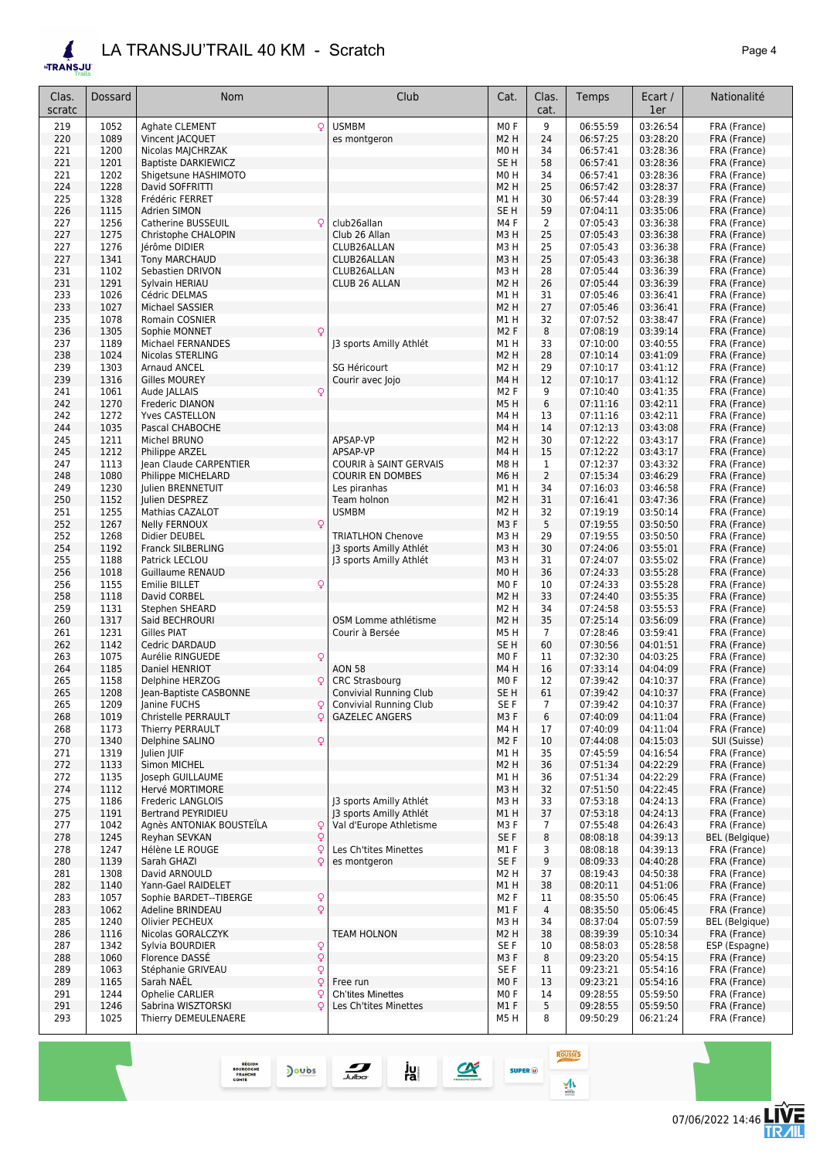### *LA TRANSJU'TRAIL 40 KM - Scratch Page 4*

REGION<br>BOURGOGNE<br>FRANCHE<br>COMTE

Doubs

 $\blacktriangle$ **ETRANSJU** 

| Clas.<br>scratc | Dossard      | <b>Nom</b>                                     | Club                                                    | Cat.                                 | Clas.<br>cat.  | Temps                | Ecart /<br>1er       | Nationalité                   |
|-----------------|--------------|------------------------------------------------|---------------------------------------------------------|--------------------------------------|----------------|----------------------|----------------------|-------------------------------|
| 219             | 1052         | Aghate CLEMENT<br>Q                            | <b>USMBM</b>                                            | M <sub>0</sub> F                     | 9              | 06:55:59             | 03:26:54             | FRA (France)                  |
| 220             | 1089         | Vincent JACQUET                                | es montgeron                                            | M <sub>2</sub> H                     | 24             | 06:57:25             | 03:28:20             | FRA (France)                  |
| 221             | 1200         | Nicolas MAJCHRZAK                              |                                                         | M <sub>0</sub> H                     | 34             | 06:57:41             | 03:28:36             | FRA (France)                  |
| 221             | 1201         | <b>Baptiste DARKIEWICZ</b>                     |                                                         | SE <sub>H</sub>                      | 58             | 06:57:41             | 03:28:36             | FRA (France)                  |
| 221             | 1202         | Shigetsune HASHIMOTO                           |                                                         | M <sub>0</sub> H                     | 34             | 06:57:41             | 03:28:36             | FRA (France)                  |
| 224             | 1228         | David SOFFRITTI                                |                                                         | M <sub>2</sub> H                     | 25             | 06:57:42             | 03:28:37             | FRA (France)                  |
| 225<br>226      | 1328<br>1115 | Frédéric FERRET<br>Adrien SIMON                |                                                         | M1H<br>SE <sub>H</sub>               | 30<br>59       | 06:57:44<br>07:04:11 | 03:28:39<br>03:35:06 | FRA (France)<br>FRA (France)  |
| 227             | 1256         | Catherine BUSSEUIL<br>C                        | club26allan                                             | M4F                                  | 2              | 07:05:43             | 03:36:38             | FRA (France)                  |
| 227             | 1275         | Christophe CHALOPIN                            | Club 26 Allan                                           | M3H                                  | 25             | 07:05:43             | 03:36:38             | FRA (France)                  |
| 227             | 1276         | lérôme DIDIER                                  | CLUB26ALLAN                                             | M3H                                  | 25             | 07:05:43             | 03:36:38             | FRA (France)                  |
| 227             | 1341         | <b>Tony MARCHAUD</b>                           | CLUB26ALLAN                                             | M3H                                  | 25             | 07:05:43             | 03:36:38             | FRA (France)                  |
| 231             | 1102         | Sebastien DRIVON                               | CLUB26ALLAN                                             | M3H                                  | 28             | 07:05:44             | 03:36:39             | FRA (France)                  |
| 231<br>233      | 1291<br>1026 | Sylvain HERIAU<br>Cédric DELMAS                | CLUB 26 ALLAN                                           | M <sub>2</sub> H<br>M1 H             | 26<br>31       | 07:05:44<br>07:05:46 | 03:36:39<br>03:36:41 | FRA (France)<br>FRA (France)  |
| 233             | 1027         | Michael SASSIER                                |                                                         | M <sub>2</sub> H                     | 27             | 07:05:46             | 03:36:41             | FRA (France)                  |
| 235             | 1078         | Romain COSNIER                                 |                                                         | M1 H                                 | 32             | 07:07:52             | 03:38:47             | FRA (France)                  |
| 236             | 1305         | Sophie MONNET<br>Q                             |                                                         | M <sub>2</sub> F                     | 8              | 07:08:19             | 03:39:14             | FRA (France)                  |
| 237             | 1189         | Michael FERNANDES                              | J3 sports Amilly Athlét                                 | M1H                                  | 33             | 07:10:00             | 03:40:55             | FRA (France)                  |
| 238<br>239      | 1024<br>1303 | Nicolas STERLING<br><b>Arnaud ANCEL</b>        | SG Héricourt                                            | M <sub>2</sub> H<br>M <sub>2</sub> H | 28<br>29       | 07:10:14<br>07:10:17 | 03:41:09<br>03:41:12 | FRA (France)<br>FRA (France)  |
| 239             | 1316         | <b>Gilles MOUREY</b>                           | Courir avec Jojo                                        | M4H                                  | 12             | 07:10:17             | 03:41:12             | FRA (France)                  |
| 241             | 1061         | Aude JALLAIS<br>ç                              |                                                         | M <sub>2</sub> F                     | 9              | 07:10:40             | 03:41:35             | FRA (France)                  |
| 242             | 1270         | Frederic DIANON                                |                                                         | M5H                                  | 6              | 07:11:16             | 03:42:11             | FRA (France)                  |
| 242             | 1272         | Yves CASTELLON                                 |                                                         | M4H                                  | 13             | 07:11:16             | 03:42:11             | FRA (France)                  |
| 244             | 1035         | Pascal CHABOCHE                                |                                                         | M4H                                  | 14             | 07:12:13             | 03:43:08             | FRA (France)                  |
| 245<br>245      | 1211<br>1212 | Michel BRUNO<br><b>Philippe ARZEL</b>          | APSAP-VP<br>APSAP-VP                                    | M <sub>2</sub> H<br>M4H              | 30<br>15       | 07:12:22<br>07:12:22 | 03:43:17<br>03:43:17 | FRA (France)<br>FRA (France)  |
| 247             | 1113         | Jean Claude CARPENTIER                         | COURIR à SAINT GERVAIS                                  | M8H                                  | 1              | 07:12:37             | 03:43:32             | FRA (France)                  |
| 248             | 1080         | Philippe MICHELARD                             | <b>COURIR EN DOMBES</b>                                 | M6H                                  | $\overline{2}$ | 07:15:34             | 03:46:29             | FRA (France)                  |
| 249             | 1230         | Julien BRENNETUIT                              | Les piranhas                                            | M1H                                  | 34             | 07:16:03             | 03:46:58             | FRA (France)                  |
| 250             | 1152         | Julien DESPREZ                                 | Team holnon                                             | M <sub>2</sub> H                     | 31             | 07:16:41             | 03:47:36             | FRA (France)                  |
| 251             | 1255         | Mathias CAZALOT                                | <b>USMBM</b>                                            | M <sub>2</sub> H                     | 32             | 07:19:19             | 03:50:14             | FRA (France)                  |
| 252<br>252      | 1267<br>1268 | <b>Nelly FERNOUX</b><br>Q<br>Didier DEUBEL     | <b>TRIATLHON Chenove</b>                                | M3F<br>M3H                           | 5<br>29        | 07:19:55<br>07:19:55 | 03:50:50<br>03:50:50 | FRA (France)<br>FRA (France)  |
| 254             | 1192         | Franck SILBERLING                              | J3 sports Amilly Athlét                                 | M3H                                  | 30             | 07:24:06             | 03:55:01             | FRA (France)                  |
| 255             | 1188         | Patrick LECLOU                                 | J3 sports Amilly Athlét                                 | M3H                                  | 31             | 07:24:07             | 03:55:02             | FRA (France)                  |
| 256             | 1018         | <b>Guillaume RENAUD</b>                        |                                                         | MO <sub>H</sub>                      | 36             | 07:24:33             | 03:55:28             | FRA (France)                  |
| 256             | 1155         | Q<br><b>Emilie BILLET</b>                      |                                                         | M <sub>0</sub> F                     | 10             | 07:24:33             | 03:55:28             | FRA (France)                  |
| 258             | 1118         | David CORBEL                                   |                                                         | M2 H                                 | 33             | 07:24:40             | 03:55:35             | FRA (France)                  |
| 259<br>260      | 1131<br>1317 | Stephen SHEARD                                 | OSM Lomme athlétisme                                    | M2 H<br>M2 H                         | 34<br>35       | 07:24:58<br>07:25:14 | 03:55:53<br>03:56:09 | FRA (France)                  |
| 261             | 1231         | Said BECHROURI<br>Gilles PIAT                  | Courir à Bersée                                         | M5H                                  | $\overline{7}$ | 07:28:46             | 03:59:41             | FRA (France)<br>FRA (France)  |
| 262             | 1142         | Cedric DARDAUD                                 |                                                         | SE <sub>H</sub>                      | 60             | 07:30:56             | 04:01:51             | FRA (France)                  |
| 263             | 1075         | Q<br>Aurélie RINGUEDE                          |                                                         | M <sub>0</sub> F                     | 11             | 07:32:30             | 04:03:25             | FRA (France)                  |
| 264             | 1185         | Daniel HENRIOT                                 | <b>AON 58</b>                                           | M4H                                  | 16             | 07:33:14             | 04:04:09             | FRA (France)                  |
| 265             | 1158         | Delphine HERZOG                                | <b>CRC Strasbourg</b>                                   | M <sub>0</sub> F                     | 12             | 07:39:42             | 04:10:37             | FRA (France)                  |
| 265<br>265      | 1208<br>1209 | Jean-Baptiste CASBONNE<br>Janine FUCHS         | <b>Convivial Running Club</b><br>Convivial Running Club | SE <sub>H</sub><br>SE F              | 61<br>7        | 07:39:42<br>07:39:42 | 04:10:37<br>04:10:37 | FRA (France)<br>FRA (France)  |
| 268             | 1019         | Christelle PERRAULT<br>Q                       | <b>GAZELEC ANGERS</b>                                   | M3F                                  | 6              | 07:40:09             | 04:11:04             | FRA (France)                  |
| 268             | 1173         | Thierry PERRAULT                               |                                                         | M4H                                  | 17             | 07:40:09             | 04:11:04             | FRA (France)                  |
| 270             | 1340         | Delphine SALINO<br>Q                           |                                                         | M <sub>2</sub> F                     | 10             | 07:44:08             | 04:15:03             | SUI (Suisse)                  |
| 271             | 1319         | Julien JUIF                                    |                                                         | M1H                                  | 35             | 07:45:59             | 04:16:54             | FRA (France)                  |
| 272<br>272      | 1133<br>1135 | Simon MICHEL<br>Joseph GUILLAUME               |                                                         | M <sub>2</sub> H<br>M1H              | 36<br>36       | 07:51:34<br>07:51:34 | 04:22:29<br>04:22:29 | FRA (France)<br>FRA (France)  |
| 274             | 1112         | Hervé MORTIMORE                                |                                                         | M3H                                  | 32             | 07:51:50             | 04:22:45             | FRA (France)                  |
| 275             | 1186         | Frederic LANGLOIS                              | J3 sports Amilly Athlét                                 | M3H                                  | 33             | 07:53:18             | 04:24:13             | FRA (France)                  |
| 275             | 1191         | Bertrand PEYRIDIEU                             | J3 sports Amilly Athlét                                 | M1H                                  | 37             | 07:53:18             | 04:24:13             | FRA (France)                  |
| 277             | 1042         | Agnès ANTONIAK BOUSTEÏLA<br>Q                  | Val d'Europe Athletisme                                 | M3F                                  | 7              | 07:55:48             | 04:26:43             | FRA (France)                  |
| 278             | 1245         | $\mathsf{Q}$<br>Reyhan SEVKAN                  |                                                         | SE F                                 | 8              | 08:08:18             | 04:39:13             | BEL (Belgique)                |
| 278<br>280      | 1247<br>1139 | Q<br>Hélène LE ROUGE<br>$\circ$<br>Sarah GHAZI | Les Ch'tites Minettes<br>es montgeron                   | M1 F<br>SE F                         | 3<br>9         | 08:08:18<br>08:09:33 | 04:39:13<br>04:40:28 | FRA (France)<br>FRA (France)  |
| 281             | 1308         | David ARNOULD                                  |                                                         | M <sub>2</sub> H                     | 37             | 08:19:43             | 04:50:38             | FRA (France)                  |
| 282             | 1140         | Yann-Gael RAIDELET                             |                                                         | M1H                                  | 38             | 08:20:11             | 04:51:06             | FRA (France)                  |
| 283             | 1057         | Q<br>Sophie BARDET--TIBERGE                    |                                                         | M <sub>2</sub> F                     | 11             | 08:35:50             | 05:06:45             | FRA (France)                  |
| 283             | 1062         | $\overline{Q}$<br>Adeline BRINDEAU             |                                                         | M1F                                  | 4              | 08:35:50             | 05:06:45             | FRA (France)                  |
| 285             | 1240         | Olivier PECHEUX                                |                                                         | M3 H                                 | 34             | 08:37:04             | 05:07:59             | BEL (Belgique)                |
| 286             | 1116         | Nicolas GORALCZYK                              | <b>TEAM HOLNON</b>                                      | M <sub>2</sub> H                     | 38             | 08:39:39             | 05:10:34             | FRA (France)                  |
| 287<br>288      | 1342<br>1060 | Sylvia BOURDIER<br>Q<br>Q<br>Florence DASSE    |                                                         | SE F<br>M3F                          | 10<br>8        | 08:58:03<br>09:23:20 | 05:28:58<br>05:54:15 | ESP (Espagne)<br>FRA (France) |
| 289             | 1063         | $\mathsf{Q}$<br>Stéphanie GRIVEAU              |                                                         | SE F                                 | 11             | 09:23:21             | 05:54:16             | FRA (France)                  |
| 289             | 1165         | Sarah NAEL<br>Q                                | Free run                                                | MO <sub>F</sub>                      | 13             | 09:23:21             | 05:54:16             | FRA (France)                  |
| 291             | 1244         | Ophelie CARLIER<br>ç                           | <b>Ch'tites Minettes</b>                                | MO F                                 | 14             | 09:28:55             | 05:59:50             | FRA (France)                  |
| 291             | 1246         | Sabrina WISZTORSKI<br>C                        | Les Ch'tites Minettes                                   | M1F                                  | 5              | 09:28:55             | 05:59:50             | FRA (France)                  |
| 293             | 1025         | Thierry DEMEULENAERE                           |                                                         | M5H                                  | 8              | 09:50:29             | 06:21:24             | FRA (France)                  |
|                 |              |                                                |                                                         |                                      |                |                      |                      |                               |

ROUSSES

 $\frac{1}{2}$ 

 $SUPER$   $@$ 

 $\alpha$ 

 $\frac{1}{\sqrt{2}}$ 

ju<br>ra